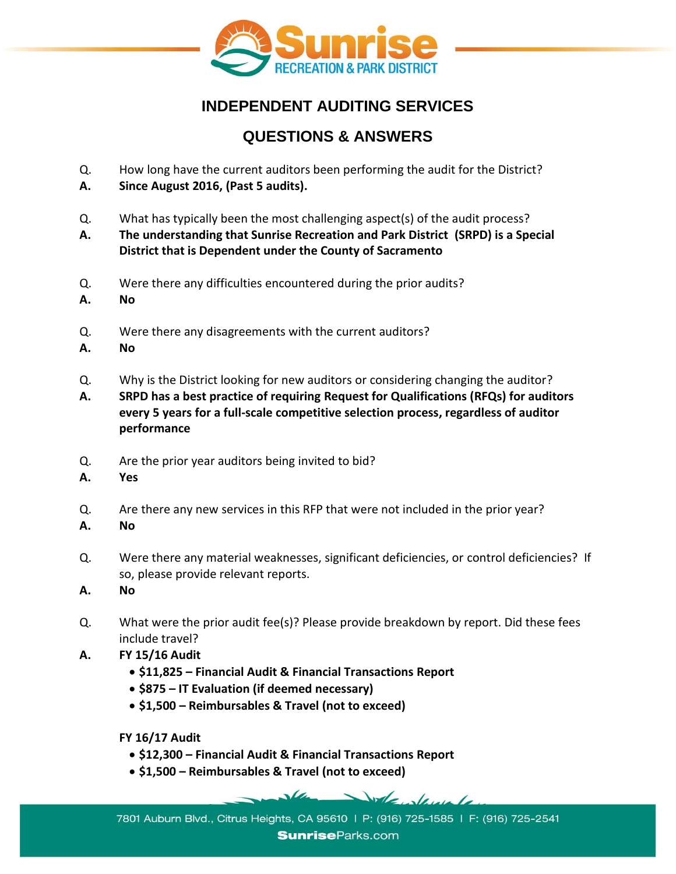

# **INDEPENDENT AUDITING SERVICES**

# **QUESTIONS & ANSWERS**

- Q. How long have the current auditors been performing the audit for the District?
- **A. Since August 2016, (Past 5 audits).**
- Q. What has typically been the most challenging aspect(s) of the audit process?
- **A. The understanding that Sunrise Recreation and Park District (SRPD) is a Special District that is Dependent under the County of Sacramento**
- Q. Were there any difficulties encountered during the prior audits?
- **A. No**
- Q. Were there any disagreements with the current auditors?
- **A. No**
- Q. Why is the District looking for new auditors or considering changing the auditor?
- **A. SRPD has a best practice of requiring Request for Qualifications (RFQs) for auditors every 5 years for a full-scale competitive selection process, regardless of auditor performance**
- Q. Are the prior year auditors being invited to bid?
- **A. Yes**
- Q. Are there any new services in this RFP that were not included in the prior year?
- **A. No**
- Q. Were there any material weaknesses, significant deficiencies, or control deficiencies? If so, please provide relevant reports.
- **A. No**
- Q. What were the prior audit fee(s)? Please provide breakdown by report. Did these fees include travel?
- **A. FY 15/16 Audit**
	- **\$11,825 – Financial Audit & Financial Transactions Report**
	- **\$875 – IT Evaluation (if deemed necessary)**
	- **\$1,500 – Reimbursables & Travel (not to exceed)**

**FY 16/17 Audit**

- **\$12,300 – Financial Audit & Financial Transactions Report**
- **\$1,500 – Reimbursables & Travel (not to exceed)**

7801 Auburn Blvd., Citrus Heights, CA 95610 | P: (916) 725-1585 | F: (916) 725-2541 **Sunrise**Parks.com

Volenlande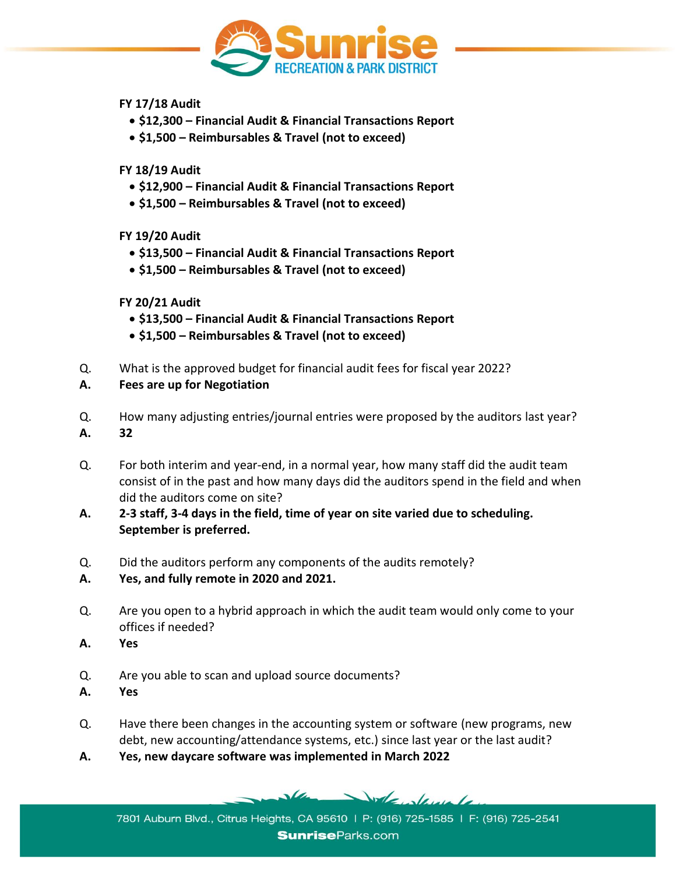

#### **FY 17/18 Audit**

- **\$12,300 – Financial Audit & Financial Transactions Report**
- **\$1,500 – Reimbursables & Travel (not to exceed)**

### **FY 18/19 Audit**

- **\$12,900 – Financial Audit & Financial Transactions Report**
- **\$1,500 – Reimbursables & Travel (not to exceed)**

## **FY 19/20 Audit**

- **\$13,500 – Financial Audit & Financial Transactions Report**
- **\$1,500 – Reimbursables & Travel (not to exceed)**

## **FY 20/21 Audit**

- **\$13,500 – Financial Audit & Financial Transactions Report**
- **\$1,500 – Reimbursables & Travel (not to exceed)**
- Q. What is the approved budget for financial audit fees for fiscal year 2022?
- **A. Fees are up for Negotiation**
- Q. How many adjusting entries/journal entries were proposed by the auditors last year? **A. 32**
- Q. For both interim and year-end, in a normal year, how many staff did the audit team consist of in the past and how many days did the auditors spend in the field and when did the auditors come on site?
- **A. 2-3 staff, 3-4 days in the field, time of year on site varied due to scheduling. September is preferred.**
- Q. Did the auditors perform any components of the audits remotely?
- **A. Yes, and fully remote in 2020 and 2021.**
- Q. Are you open to a hybrid approach in which the audit team would only come to your offices if needed?
- **A. Yes**
- Q. Are you able to scan and upload source documents?
- **A. Yes**
- Q. Have there been changes in the accounting system or software (new programs, new debt, new accounting/attendance systems, etc.) since last year or the last audit?
- **A. Yes, new daycare software was implemented in March 2022**

Volte develope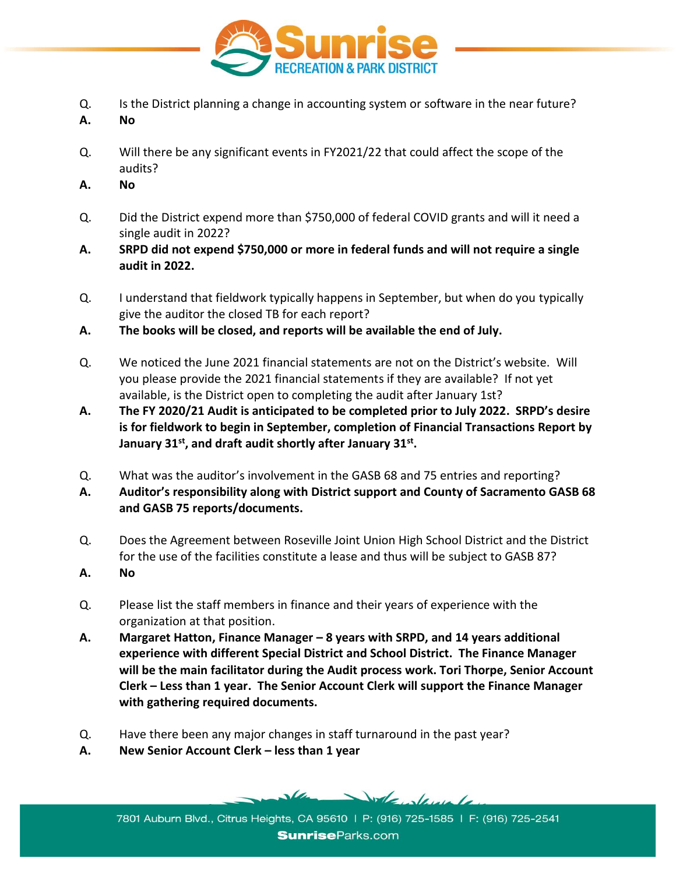

- Q. Is the District planning a change in accounting system or software in the near future?
- **A. No**
- Q. Will there be any significant events in FY2021/22 that could affect the scope of the audits?
- **A. No**
- Q. Did the District expend more than \$750,000 of federal COVID grants and will it need a single audit in 2022?
- **A. SRPD did not expend \$750,000 or more in federal funds and will not require a single audit in 2022.**
- Q. I understand that fieldwork typically happens in September, but when do you typically give the auditor the closed TB for each report?
- **A. The books will be closed, and reports will be available the end of July.**
- Q. We noticed the June 2021 financial statements are not on the District's website. Will you please provide the 2021 financial statements if they are available? If not yet available, is the District open to completing the audit after January 1st?
- **A. The FY 2020/21 Audit is anticipated to be completed prior to July 2022. SRPD's desire is for fieldwork to begin in September, completion of Financial Transactions Report by January 31st, and draft audit shortly after January 31st .**
- Q. What was the auditor's involvement in the GASB 68 and 75 entries and reporting?
- **A. Auditor's responsibility along with District support and County of Sacramento GASB 68 and GASB 75 reports/documents.**
- Q. Does the Agreement between Roseville Joint Union High School District and the District for the use of the facilities constitute a lease and thus will be subject to GASB 87?
- **A. No**
- Q. Please list the staff members in finance and their years of experience with the organization at that position.
- **A. Margaret Hatton, Finance Manager – 8 years with SRPD, and 14 years additional experience with different Special District and School District. The Finance Manager will be the main facilitator during the Audit process work. Tori Thorpe, Senior Account Clerk – Less than 1 year. The Senior Account Clerk will support the Finance Manager with gathering required documents.**
- Q. Have there been any major changes in staff turnaround in the past year?
- **A. New Senior Account Clerk – less than 1 year**

Vole devele

7801 Auburn Blvd., Citrus Heights, CA 95610 | P: (916) 725-1585 | F: (916) 725-2541 **Sunrise**Parks.com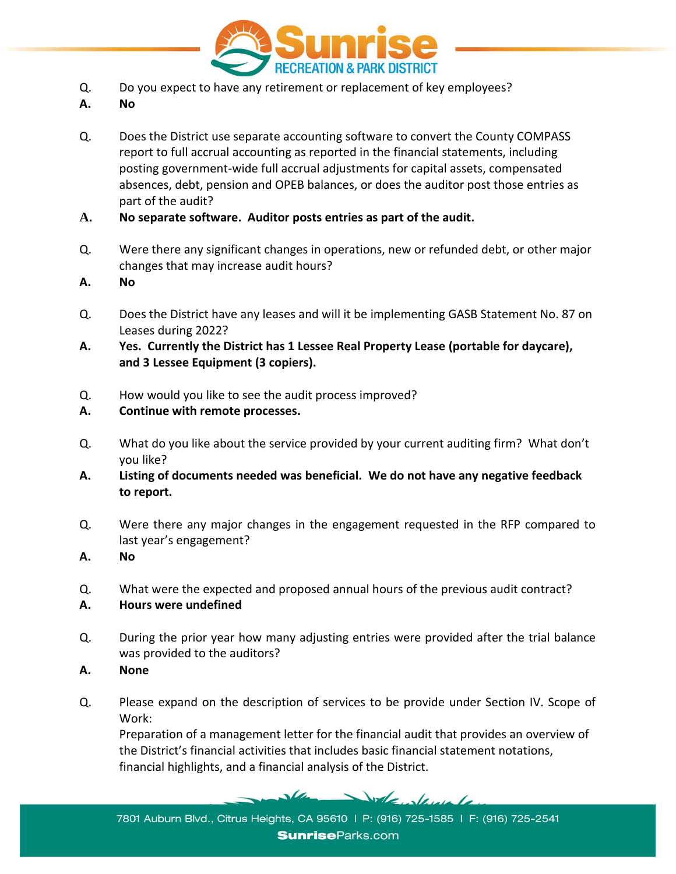

- Q. Do you expect to have any retirement or replacement of key employees?
- **A. No**
- Q. Does the District use separate accounting software to convert the County COMPASS report to full accrual accounting as reported in the financial statements, including posting government-wide full accrual adjustments for capital assets, compensated absences, debt, pension and OPEB balances, or does the auditor post those entries as part of the audit?
- **A. No separate software. Auditor posts entries as part of the audit.**
- Q. Were there any significant changes in operations, new or refunded debt, or other major changes that may increase audit hours?
- **A. No**
- Q. Does the District have any leases and will it be implementing GASB Statement No. 87 on Leases during 2022?
- **A. Yes. Currently the District has 1 Lessee Real Property Lease (portable for daycare), and 3 Lessee Equipment (3 copiers).**
- Q. How would you like to see the audit process improved?
- **A. Continue with remote processes.**
- Q. What do you like about the service provided by your current auditing firm? What don't you like?
- **A. Listing of documents needed was beneficial. We do not have any negative feedback to report.**
- Q. Were there any major changes in the engagement requested in the RFP compared to last year's engagement?
- **A. No**
- Q. What were the expected and proposed annual hours of the previous audit contract?
- **A. Hours were undefined**
- Q. During the prior year how many adjusting entries were provided after the trial balance was provided to the auditors?
- **A. None**
- Q. Please expand on the description of services to be provide under Section IV. Scope of Work:

Preparation of a management letter for the financial audit that provides an overview of the District's financial activities that includes basic financial statement notations, financial highlights, and a financial analysis of the District.

Volenlande